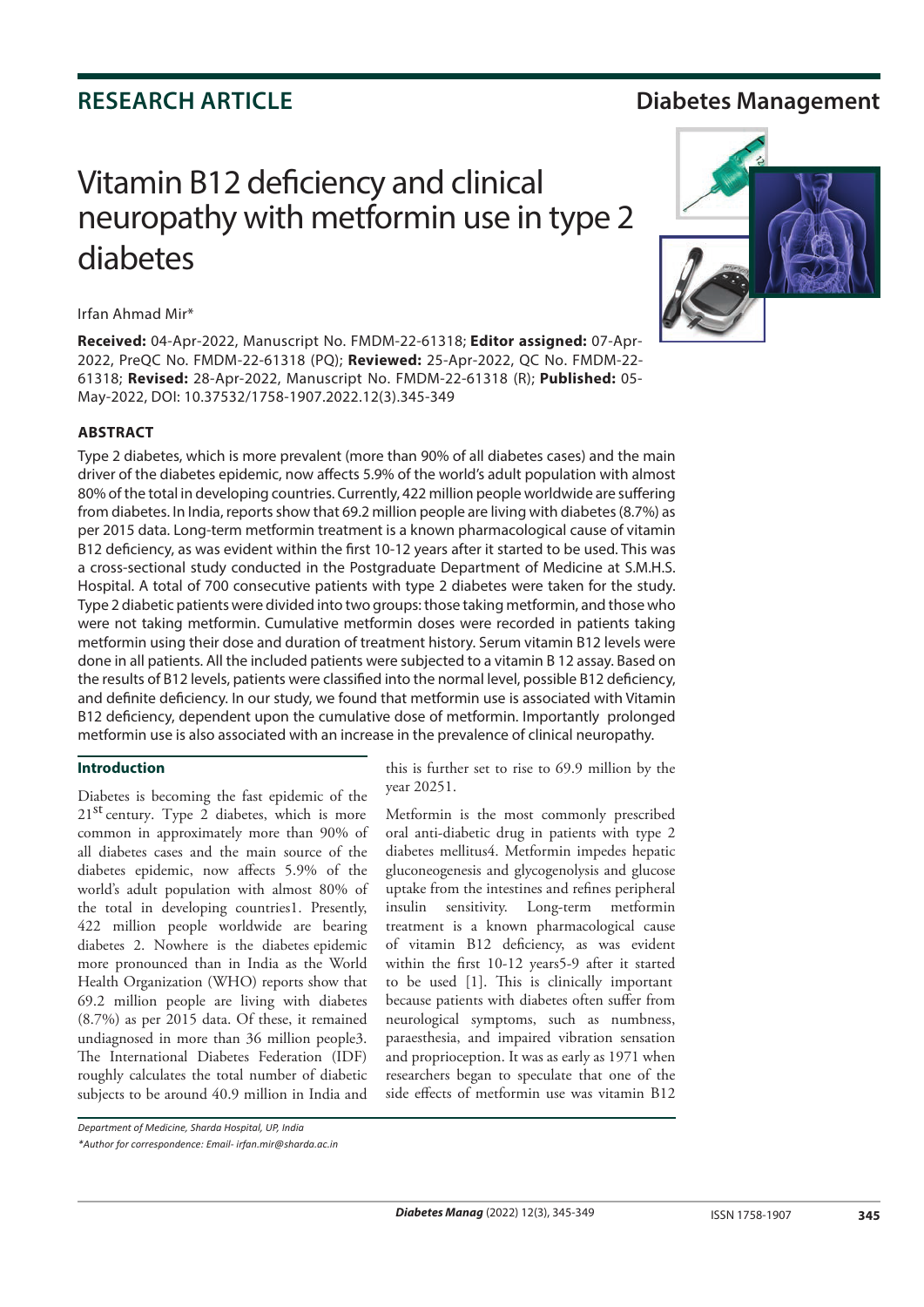## **RESEARCH ARTICLE Diabetes Management**

# Vitamin B12 deficiency and clinical neuropathy with metformin use in type 2 diabetes

#### Irfan Ahmad Mir\*

**Received:** 04-Apr-2022, Manuscript No. FMDM-22-61318; **Editor assigned:** 07-Apr-2022, PreQC No. FMDM-22-61318 (PQ); **Reviewed:** 25-Apr-2022, QC No. FMDM-22- 61318; **Revised:** 28-Apr-2022, Manuscript No. FMDM-22-61318 (R); **Published:** 05- May-2022, DOI: 10.37532/1758-1907.2022.12(3).345-349

### **ABSTRACT**

Type 2 diabetes, which is more prevalent (more than 90% of all diabetes cases) and the main driver of the diabetes epidemic, now affects 5.9% of the world's adult population with almost 80% of the total in developing countries. Currently, 422 million people worldwide are suffering from diabetes. In India, reports show that 69.2 million people are living with diabetes (8.7%) as per 2015 data. Long-term metformin treatment is a known pharmacological cause of vitamin B12 deficiency, as was evident within the first 10-12 years after it started to be used. This was a cross-sectional study conducted in the Postgraduate Department of Medicine at S.M.H.S. Hospital. A total of 700 consecutive patients with type 2 diabetes were taken for the study. Type 2 diabetic patients were divided into two groups: those taking metformin, and those who were not taking metformin. Cumulative metformin doses were recorded in patients taking metformin using their dose and duration of treatment history. Serum vitamin B12 levels were done in all patients. All the included patients were subjected to a vitamin B 12 assay. Based on the results of B12 levels, patients were classified into the normal level, possible B12 deficiency, and definite deficiency. In our study, we found that metformin use is associated with Vitamin B12 deficiency, dependent upon the cumulative dose of metformin. Importantly prolonged metformin use is also associated with an increase in the prevalence of clinical neuropathy.

#### **Introduction**

Diabetes is becoming the fast epidemic of the common in approximately more than 90% of all diabetes cases and the main source of the diabetes epidemic, now affects 5.9% of the world's adult population with almost 80% of the total in developing countries1. Presently, 422 million people worldwide are bearing more pronounced than in India as the World Health Organization (WHO) reports show that 69.2 million people are living with diabetes (8.7%) as per 2015 data. Of these, it remained undiagnosed in more than 36 million people3. The International Diabetes Federation (IDF) roughly calculates the total number of diabetic subjects to be around 40.9 million in India and  $21<sup>st</sup>$  century. Type 2 diabetes, which is more diabetes 2. Nowhere is the diabetes epidemic

this is further set to rise to 69.9 million by the year 20251.

Metformin is the most commonly prescribed oral anti-diabetic drug in patients with type 2 diabetes mellitus4. Metformin impedes hepatic gluconeogenesis and glycogenolysis and glucose uptake from the intestines and refines peripheral insulin sensitivity. Long-term metformin treatment is a known pharmacological cause of vitamin B12 deficiency, as was evident within the first 10-12 years5-9 after it started to be used [1]. This is clinically important because patients with diabetes often suffer from neurological symptoms, such as numbness, paraesthesia, and impaired vibration sensation and proprioception. It was as early as 1971 when researchers began to speculate that one of the side effects of metformin use was vitamin B12



*<sup>\*</sup>Author for correspondence: Email- irfan.mir@sharda.ac.in*

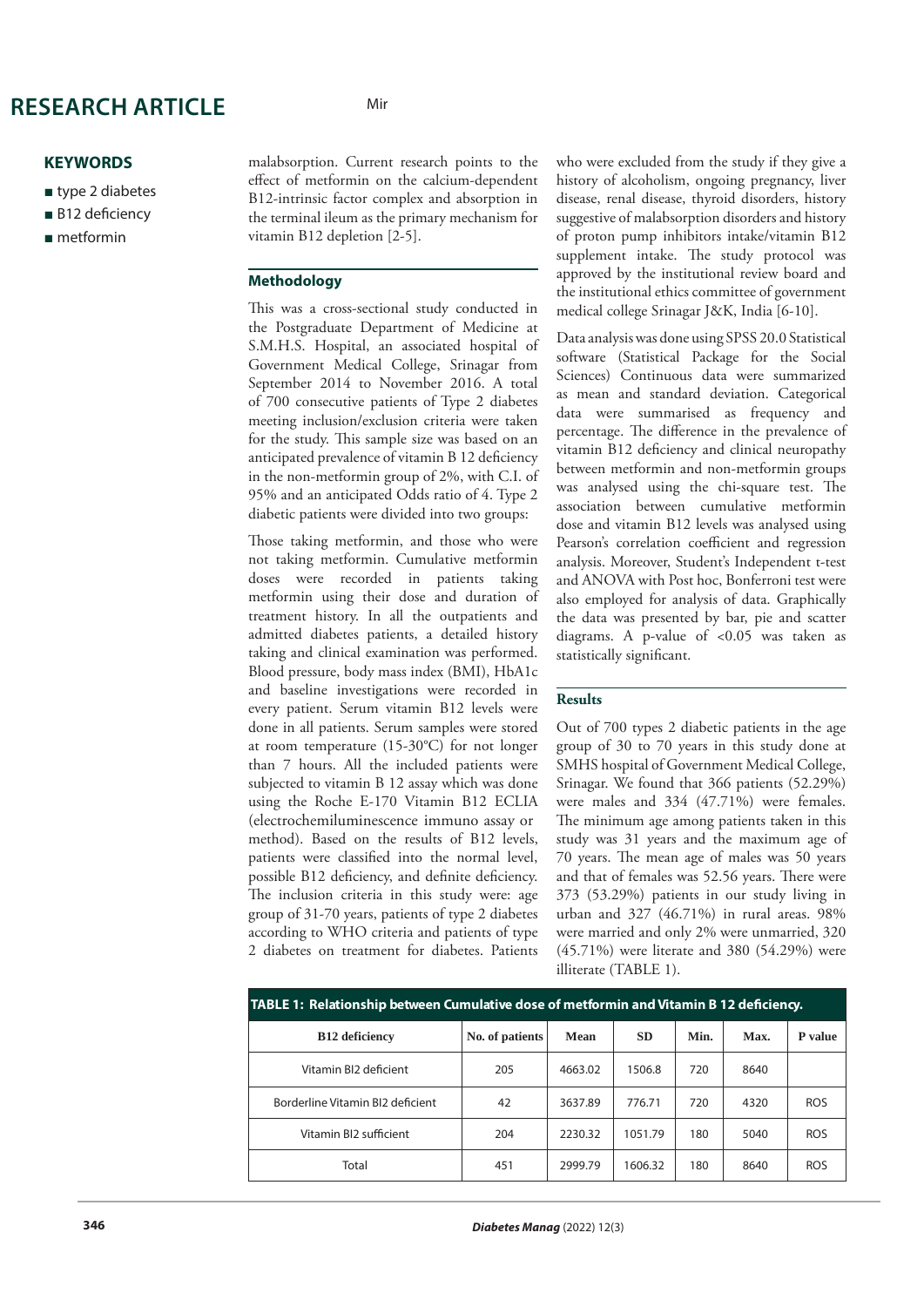## **RESEARCH ARTICLE** Mir

### **KEYWORDS**

- type 2 diabetes
- B12 deficiency
- metformin

malabsorption. Current research points to the effect of metformin on the calcium-dependent B12-intrinsic factor complex and absorption in the terminal ileum as the primary mechanism for vitamin B12 depletion [2-5].

#### **Methodology**

This was a cross-sectional study conducted in the Postgraduate Department of Medicine at S.M.H.S. Hospital, an associated hospital of Government Medical College, Srinagar from September 2014 to November 2016. A total of 700 consecutive patients of Type 2 diabetes meeting inclusion/exclusion criteria were taken for the study. This sample size was based on an anticipated prevalence of vitamin B 12 deficiency in the non-metformin group of 2%, with C.I. of 95% and an anticipated Odds ratio of 4. Type 2 diabetic patients were divided into two groups:

Those taking metformin, and those who were not taking metformin. Cumulative metformin doses were recorded in patients taking metformin using their dose and duration of treatment history. In all the outpatients and admitted diabetes patients, a detailed history taking and clinical examination was performed. Blood pressure, body mass index (BMI), HbA1c and baseline investigations were recorded in every patient. Serum vitamin B12 levels were done in all patients. Serum samples were stored at room temperature (15-30°C) for not longer than 7 hours. All the included patients were subjected to vitamin B 12 assay which was done using the Roche E-170 Vitamin B12 ECLIA patients were classified into the normal level, possible B12 deficiency, and definite deficiency. The inclusion criteria in this study were: age group of 31-70 years, patients of type 2 diabetes according to WHO criteria and patients of type 2 diabetes on treatment for diabetes. Patients (electrochemiluminescence immuno assay or method). Based on the results of B12 levels,

who were excluded from the study if they give a history of alcoholism, ongoing pregnancy, liver disease, renal disease, thyroid disorders, history suggestive of malabsorption disorders and history of proton pump inhibitors intake/vitamin B12 supplement intake. The study protocol was approved by the institutional review board and the institutional ethics committee of government medical college Srinagar J&K, India [6-10].

Data analysis was done using SPSS 20.0 Statistical software (Statistical Package for the Social Sciences) Continuous data were summarized as mean and standard deviation. Categorical data were summarised as frequency and percentage. The difference in the prevalence of vitamin B12 deficiency and clinical neuropathy between metformin and non-metformin groups was analysed using the chi-square test. The association between cumulative metformin dose and vitamin B12 levels was analysed using Pearson's correlation coefficient and regression analysis. Moreover, Student's Independent t-test and ANOVA with Post hoc, Bonferroni test were also employed for analysis of data. Graphically the data was presented by bar, pie and scatter diagrams. A p-value of <0.05 was taken as statistically significant.

#### **Results**

Out of 700 types 2 diabetic patients in the age group of 30 to 70 years in this study done at SMHS hospital of Government Medical College, Srinagar. We found that 366 patients (52.29%) were males and 334 (47.71%) were females. The minimum age among patients taken in this study was 31 years and the maximum age of 70 years. The mean age of males was 50 years and that of females was 52.56 years. There were 373 (53.29%) patients in our study living in urban and 327 (46.71%) in rural areas. 98% were married and only 2% were unmarried, 320 (45.71%) were literate and 380 (54.29%) were illiterate (TABLE 1).

| TABLE 1: Relationship between Cumulative dose of metformin and Vitamin B 12 deficiency. |                 |             |           |      |      |                |
|-----------------------------------------------------------------------------------------|-----------------|-------------|-----------|------|------|----------------|
| B <sub>12</sub> de ficiency                                                             | No. of patients | <b>Mean</b> | <b>SD</b> | Min. | Max. | <b>P</b> value |
| Vitamin BI2 deficient                                                                   | 205             | 4663.02     | 1506.8    | 720  | 8640 |                |
| Borderline Vitamin BI2 deficient                                                        | 42              | 3637.89     | 776.71    | 720  | 4320 | <b>ROS</b>     |
| Vitamin BI2 sufficient                                                                  | 204             | 2230.32     | 1051.79   | 180  | 5040 | <b>ROS</b>     |
| Total                                                                                   | 451             | 2999.79     | 1606.32   | 180  | 8640 | <b>ROS</b>     |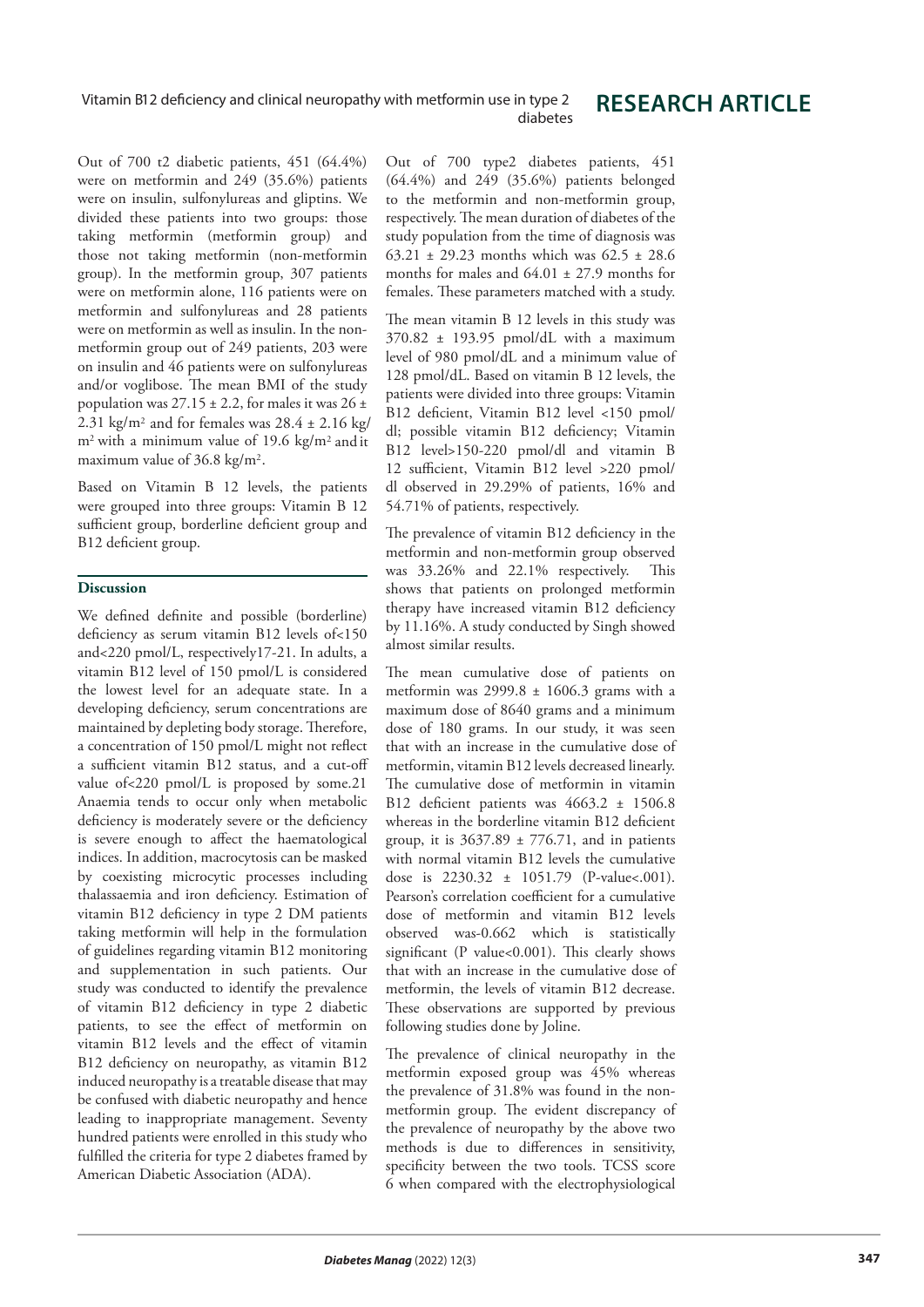## **RESEARCH ARTICLE**

Out of 700 t2 diabetic patients, 451 (64.4%) were on metformin and 249 (35.6%) patients were on insulin, sulfonylureas and gliptins. We divided these patients into two groups: those taking metformin (metformin group) and those not taking metformin (non-metformin group). In the metformin group, 307 patients were on metformin alone, 116 patients were on metformin and sulfonylureas and 28 patients were on metformin as well as insulin. In the nonmetformin group out of 249 patients, 203 were on insulin and 46 patients were on sulfonylureas and/or voglibose. The mean BMI of the study 2.31 kg/m<sup>2</sup> and for females was  $28.4 \pm 2.16$  kg/ m<sup>2</sup> with a minimum value of 19.6 kg/m<sup>2</sup> and it population was  $27.15 \pm 2.2$ , for males it was  $26 \pm$ maximum value of 36.8 kg/m<sup>2</sup>.

Based on Vitamin B 12 levels, the patients were grouped into three groups: Vitamin B 12 sufficient group, borderline deficient group and B12 deficient group.

#### **Discussion**

We defined definite and possible (borderline) deficiency as serum vitamin B12 levels of<150 and<220 pmol/L, respectively17-21. In adults, a vitamin B12 level of 150 pmol/L is considered the lowest level for an adequate state. In a developing deficiency, serum concentrations are maintained by depleting body storage. Therefore, a concentration of 150 pmol/L might not reflect a sufficient vitamin B12 status, and a cut-off value of<220 pmol/L is proposed by some.21 Anaemia tends to occur only when metabolic deficiency is moderately severe or the deficiency is severe enough to affect the haematological indices. In addition, macrocytosis can be masked by coexisting microcytic processes including thalassaemia and iron deficiency. Estimation of vitamin B12 deficiency in type 2 DM patients taking metformin will help in the formulation of guidelines regarding vitamin B12 monitoring and supplementation in such patients. Our study was conducted to identify the prevalence of vitamin B12 deficiency in type 2 diabetic patients, to see the effect of metformin on vitamin B12 levels and the effect of vitamin B12 deficiency on neuropathy, as vitamin B12 induced neuropathy is a treatable disease that may be confused with diabetic neuropathy and hence leading to inappropriate management. Seventy hundred patients were enrolled in this study who fulfilled the criteria for type 2 diabetes framed by American Diabetic Association (ADA).

Out of 700 type2 diabetes patients, 451 (64.4%) and 249 (35.6%) patients belonged to the metformin and non-metformin group, respectively. The mean duration of diabetes of the study population from the time of diagnosis was 63.21 ± 29.23 months which was 62.5 ± 28.6 months for males and  $64.01 \pm 27.9$  months for females. These parameters matched with a study.

The mean vitamin B 12 levels in this study was 370.82 ± 193.95 pmol/dL with a maximum level of 980 pmol/dL and a minimum value of 128 pmol/dL. Based on vitamin B 12 levels, the patients were divided into three groups: Vitamin B12 deficient, Vitamin B12 level <150 pmol/ dl; possible vitamin B12 deficiency; Vitamin B12 level>150-220 pmol/dl and vitamin B 12 sufficient, Vitamin B12 level >220 pmol/ dl observed in 29.29% of patients, 16% and 54.71% of patients, respectively.

The prevalence of vitamin B12 deficiency in the metformin and non-metformin group observed was 33.26% and 22.1% respectively. This shows that patients on prolonged metformin therapy have increased vitamin B12 deficiency by 11.16%. A study conducted by Singh showed almost similar results.

The mean cumulative dose of patients on metformin was  $2999.8 \pm 1606.3$  grams with a maximum dose of 8640 grams and a minimum dose of 180 grams. In our study, it was seen that with an increase in the cumulative dose of metformin, vitamin B12 levels decreased linearly. The cumulative dose of metformin in vitamin B12 deficient patients was 4663.2 ± 1506.8 whereas in the borderline vitamin B12 deficient group, it is  $3637.89 \pm 776.71$ , and in patients with normal vitamin B12 levels the cumulative dose is  $2230.32 \pm 1051.79$  (P-value <. 001). Pearson's correlation coefficient for a cumulative dose of metformin and vitamin B12 levels observed was-0.662 which is statistically significant (P value<0.001). This clearly shows that with an increase in the cumulative dose of metformin, the levels of vitamin B12 decrease. These observations are supported by previous following studies done by Joline.

The prevalence of clinical neuropathy in the metformin exposed group was 45% whereas the prevalence of 31.8% was found in the nonmetformin group. The evident discrepancy of the prevalence of neuropathy by the above two methods is due to differences in sensitivity, specificity between the two tools. TCSS score 6 when compared with the electrophysiological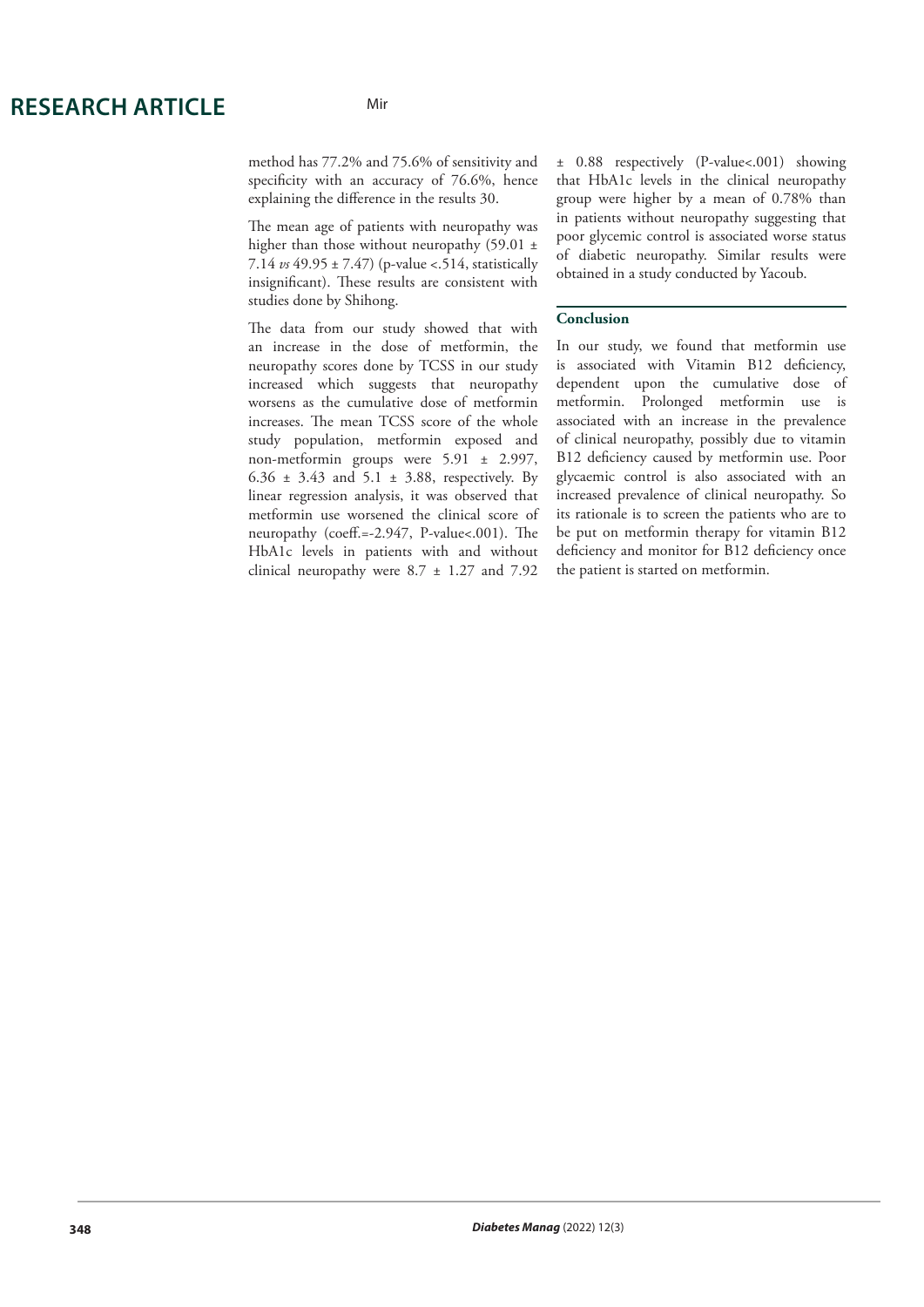#### Mir

method has 77.2% and 75.6% of sensitivity and specificity with an accuracy of 76.6%, hence explaining the difference in the results 30.

The mean age of patients with neuropathy was higher than those without neuropathy (59.01 ± 7.14 *vs* 49.95 ± 7.47) (p-value <.514, statistically insignificant). These results are consistent with studies done by Shihong.

The data from our study showed that with an increase in the dose of metformin, the neuropathy scores done by TCSS in our study increased which suggests that neuropathy worsens as the cumulative dose of metformin increases. The mean TCSS score of the whole study population, metformin exposed and non-metformin groups were 5.91 ± 2.997, 6.36  $\pm$  3.43 and 5.1  $\pm$  3.88, respectively. By linear regression analysis, it was observed that metformin use worsened the clinical score of neuropathy (coeff.=-2.947, P-value<.001). The HbA1c levels in patients with and without clinical neuropathy were 8.7 ± 1.27 and 7.92

± 0.88 respectively (P-value<.001) showing that HbA1c levels in the clinical neuropathy group were higher by a mean of 0.78% than in patients without neuropathy suggesting that poor glycemic control is associated worse status of diabetic neuropathy. Similar results were obtained in a study conducted by Yacoub.

#### **Conclusion**

In our study, we found that metformin use is associated with Vitamin B12 deficiency, dependent upon the cumulative dose of metformin. Prolonged metformin use is associated with an increase in the prevalence of clinical neuropathy, possibly due to vitamin B12 deficiency caused by metformin use. Poor glycaemic control is also associated with an increased prevalence of clinical neuropathy. So its rationale is to screen the patients who are to be put on metformin therapy for vitamin B12 deficiency and monitor for B12 deficiency once the patient is started on metformin.